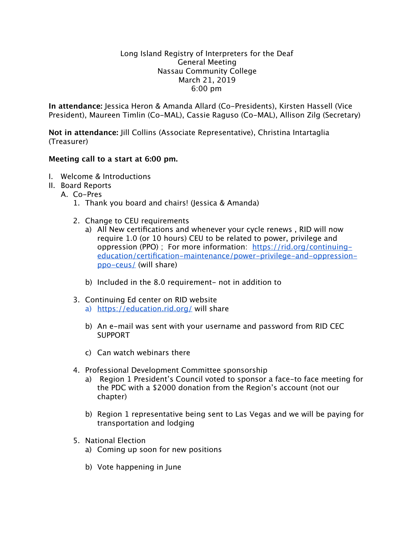## Long Island Registry of Interpreters for the Deaf General Meeting Nassau Community College March 21, 2019 6:00 pm

**In attendance:** Jessica Heron & Amanda Allard (Co-Presidents), Kirsten Hassell (Vice President), Maureen Timlin (Co-MAL), Cassie Raguso (Co-MAL), Allison Zilg (Secretary)

**Not in attendance:** Jill Collins (Associate Representative), Christina Intartaglia (Treasurer)

## **Meeting call to a start at 6:00 pm.**

- I. Welcome & Introductions
- II. Board Reports
	- A. Co-Pres
		- 1. Thank you board and chairs! (Jessica & Amanda)
		- 2. Change to CEU requirements
			- a) All New certifications and whenever your cycle renews , RID will now require 1.0 (or 10 hours) CEU to be related to power, privilege and oppression (PPO) ; For more information: [https://rid.org/continuing](https://rid.org/continuing-education/certification-maintenance/power-privilege-and-oppression-ppo-ceus/)[education/certification-maintenance/power-privilege-and-oppression](https://rid.org/continuing-education/certification-maintenance/power-privilege-and-oppression-ppo-ceus/)[ppo-ceus/](https://rid.org/continuing-education/certification-maintenance/power-privilege-and-oppression-ppo-ceus/) (will share)
			- b) Included in the 8.0 requirement- not in addition to
		- 3. Continuing Ed center on RID website a) <https://education.rid.org/>will share
			- b) An e-mail was sent with your username and password from RID CEC SUPPORT
			- c) Can watch webinars there
		- 4. Professional Development Committee sponsorship
			- a) Region 1 President's Council voted to sponsor a face-to face meeting for the PDC with a \$2000 donation from the Region's account (not our chapter)
			- b) Region 1 representative being sent to Las Vegas and we will be paying for transportation and lodging
		- 5. National Election
			- a) Coming up soon for new positions
			- b) Vote happening in June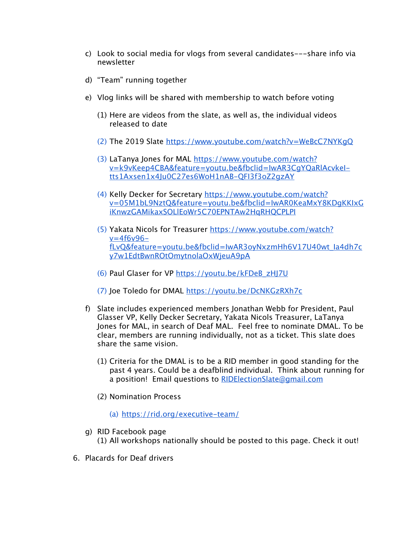- c) Look to social media for vlogs from several candidates---share info via newsletter
- d) "Team" running together
- e) Vlog links will be shared with membership to watch before voting
	- (1) Here are videos from the slate, as well as, the individual videos released to date
	- (2) The 2019 Slate <https://www.youtube.com/watch?v=WeBcC7NYKgQ>
	- (3) LaTanya Jones for MAL [https://www.youtube.com/watch?](https://www.youtube.com/watch?v=k9vKeep4CBA&feature=youtu.be&fbclid=IwAR3CgYQaRlAcvkeI-tts1Axsen1x4Ju0C27es6WoH1nAB-QFI3f3oZ2gzAY) [v=k9vKeep4CBA&feature=youtu.be&fbclid=IwAR3CgYQaRlAcvkeI](https://www.youtube.com/watch?v=k9vKeep4CBA&feature=youtu.be&fbclid=IwAR3CgYQaRlAcvkeI-tts1Axsen1x4Ju0C27es6WoH1nAB-QFI3f3oZ2gzAY)[tts1Axsen1x4Ju0C27es6WoH1nAB-QFI3f3oZ2gzAY](https://www.youtube.com/watch?v=k9vKeep4CBA&feature=youtu.be&fbclid=IwAR3CgYQaRlAcvkeI-tts1Axsen1x4Ju0C27es6WoH1nAB-QFI3f3oZ2gzAY)
	- (4) Kelly Decker for Secretary [https://www.youtube.com/watch?](https://www.youtube.com/watch?v=05M1bL9NztQ&feature=youtu.be&fbclid=IwAR0KeaMxY8KDgKKIxGiKnwzGAMikaxSOLlEoWr5C70EPNTAw2HqRHQCPLPI) [v=05M1bL9NztQ&feature=youtu.be&fbclid=IwAR0KeaMxY8KDgKKIxG](https://www.youtube.com/watch?v=05M1bL9NztQ&feature=youtu.be&fbclid=IwAR0KeaMxY8KDgKKIxGiKnwzGAMikaxSOLlEoWr5C70EPNTAw2HqRHQCPLPI) [iKnwzGAMikaxSOLlEoWr5C70EPNTAw2HqRHQCPLPI](https://www.youtube.com/watch?v=05M1bL9NztQ&feature=youtu.be&fbclid=IwAR0KeaMxY8KDgKKIxGiKnwzGAMikaxSOLlEoWr5C70EPNTAw2HqRHQCPLPI)
	- (5) Yakata Nicols for Treasurer [https://www.youtube.com/watch?](https://www.youtube.com/watch?v=4f6v96-fLvQ&feature=youtu.be&fbclid=IwAR3oyNxzmHh6V17U40wt_Ia4dh7cy7w1EdtBwnROtOmytnolaOxWjeuA9pA)  $v=4f6v96$ [fLvQ&feature=youtu.be&fbclid=IwAR3oyNxzmHh6V17U40wt\\_Ia4dh7c](https://www.youtube.com/watch?v=4f6v96-fLvQ&feature=youtu.be&fbclid=IwAR3oyNxzmHh6V17U40wt_Ia4dh7cy7w1EdtBwnROtOmytnolaOxWjeuA9pA) [y7w1EdtBwnROtOmytnolaOxWjeuA9pA](https://www.youtube.com/watch?v=4f6v96-fLvQ&feature=youtu.be&fbclid=IwAR3oyNxzmHh6V17U40wt_Ia4dh7cy7w1EdtBwnROtOmytnolaOxWjeuA9pA)
	- (6) Paul Glaser for VP [https://youtu.be/kFDeB\\_zHJ7U](https://youtu.be/kFDeB_zHJ7U)
	- (7) Joe Toledo for DMAL<https://youtu.be/DcNKGzRXh7c>
- f) Slate includes experienced members Jonathan Webb for President, Paul Glasser VP, Kelly Decker Secretary, Yakata Nicols Treasurer, LaTanya Jones for MAL, in search of Deaf MAL. Feel free to nominate DMAL. To be clear, members are running individually, not as a ticket. This slate does share the same vision.
	- (1) Criteria for the DMAL is to be a RID member in good standing for the past 4 years. Could be a deafblind individual. Think about running for a position! Email questions to [RIDElectionSlate@gmail.com](mailto:RIDElectionSlate@gmail.com)
	- (2) Nomination Process
		- (a) <https://rid.org/executive-team/>
- g) RID Facebook page (1) All workshops nationally should be posted to this page. Check it out!
- 6. Placards for Deaf drivers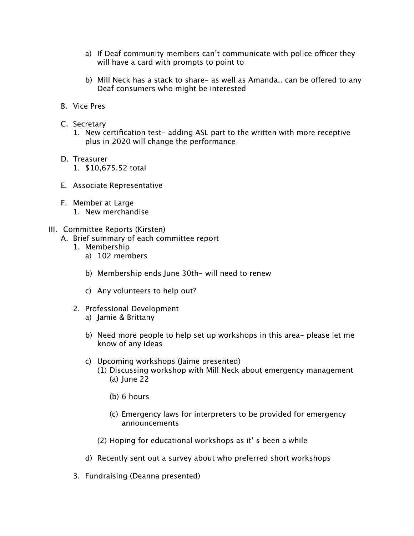- a) If Deaf community members can't communicate with police officer they will have a card with prompts to point to
- b) Mill Neck has a stack to share- as well as Amanda.. can be ofered to any Deaf consumers who might be interested
- B. Vice Pres
- C. Secretary
	- 1. New certification test- adding ASL part to the written with more receptive plus in 2020 will change the performance
- D. Treasurer
	- 1. \$10,675.52 total
- E. Associate Representative
- F. Member at Large
	- 1. New merchandise

## III. Committee Reports (Kirsten)

- A. Brief summary of each committee report
	- 1. Membership
		- a) 102 members
		- b) Membership ends June 30th- will need to renew
		- c) Any volunteers to help out?
	- 2. Professional Development a) Jamie & Brittany
		- b) Need more people to help set up workshops in this area- please let me know of any ideas
		- c) Upcoming workshops (Jaime presented)
			- (1) Discussing workshop with Mill Neck about emergency management (a) June 22
				- (b) 6 hours
				- (c) Emergency laws for interpreters to be provided for emergency announcements
			- (2) Hoping for educational workshops as it' s been a while
		- d) Recently sent out a survey about who preferred short workshops
	- 3. Fundraising (Deanna presented)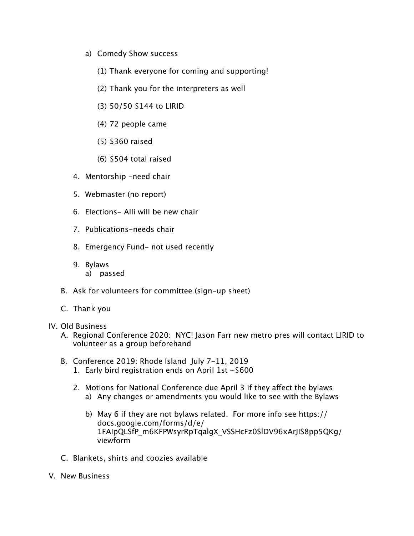- a) Comedy Show success
	- (1) Thank everyone for coming and supporting!
	- (2) Thank you for the interpreters as well
	- (3) 50/50 \$144 to LIRID
	- (4) 72 people came
	- (5) \$360 raised
	- (6) \$504 total raised
- 4. Mentorship -need chair
- 5. Webmaster (no report)
- 6. Elections- Alli will be new chair
- 7. Publications-needs chair
- 8. Emergency Fund- not used recently
- 9. Bylaws a) passed
- B. Ask for volunteers for committee (sign-up sheet)
- C. Thank you
- IV. Old Business
	- A. Regional Conference 2020: NYC! Jason Farr new metro pres will contact LIRID to volunteer as a group beforehand
	- B. Conference 2019: Rhode Island July 7-11, 2019
		- 1. Early bird registration ends on April 1st ~\$600
		- 2. Motions for National Conference due April 3 if they afect the bylaws a) Any changes or amendments you would like to see with the Bylaws
			- b) May 6 if they are not bylaws related. For more info see https:// docs.google.com/forms/d/e/ 1FAIpQLSfP\_m6KFPWsyrRpTqalgX\_VSSHcFz0SlDV96xArJIS8pp5QKg/ viewform
	- C. Blankets, shirts and coozies available
- V. New Business